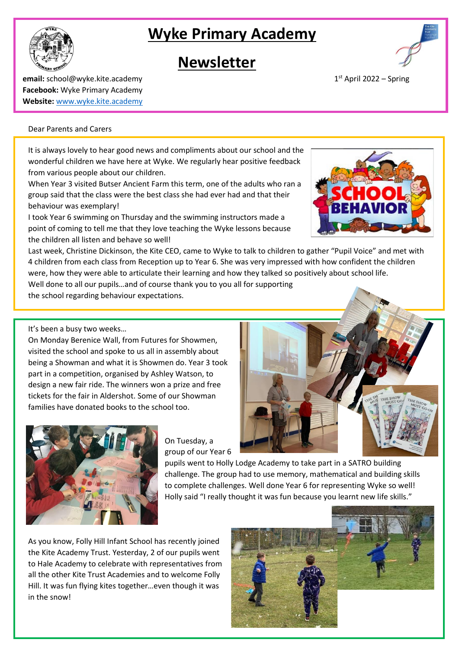# **Wyke Primary Academy**

## **Newsletter**

**email:** school@wyke.kite.academy 1 **Facebook:** Wyke Primary Academy **Website:** [www.wyke.kite.academy](http://www.wyke.kite.academy/)

#### Dear Parents and Carers

It is always lovely to hear good news and compliments about our school and the wonderful children we have here at Wyke. We regularly hear positive feedback from various people about our children.

When Year 3 visited Butser Ancient Farm this term, one of the adults who ran a group said that the class were the best class she had ever had and that their behaviour was exemplary!

I took Year 6 swimming on Thursday and the swimming instructors made a point of coming to tell me that they love teaching the Wyke lessons because the children all listen and behave so well!

Last week, Christine Dickinson, the Kite CEO, came to Wyke to talk to children to gather "Pupil Voice" and met with 4 children from each class from Reception up to Year 6. She was very impressed with how confident the children were, how they were able to articulate their learning and how they talked so positively about school life.

Well done to all our pupils…and of course thank you to you all for supporting the school regarding behaviour expectations.

It's been a busy two weeks…

On Monday Berenice Wall, from Futures for Showmen, visited the school and spoke to us all in assembly about being a Showman and what it is Showmen do. Year 3 took part in a competition, organised by Ashley Watson, to design a new fair ride. The winners won a prize and free tickets for the fair in Aldershot. Some of our Showman families have donated books to the school too.

> On Tuesday, a group of our Year 6

pupils went to Holly Lodge Academy to take part in a SATRO building challenge. The group had to use memory, mathematical and building skills to complete challenges. Well done Year 6 for representing Wyke so well! Holly said "I really thought it was fun because you learnt new life skills."

As you know, Folly Hill Infant School has recently joined the Kite Academy Trust. Yesterday, 2 of our pupils went to Hale Academy to celebrate with representatives from all the other Kite Trust Academies and to welcome Folly Hill. It was fun flying kites together…even though it was in the snow!











 $1<sup>st</sup>$  April 2022 – Spring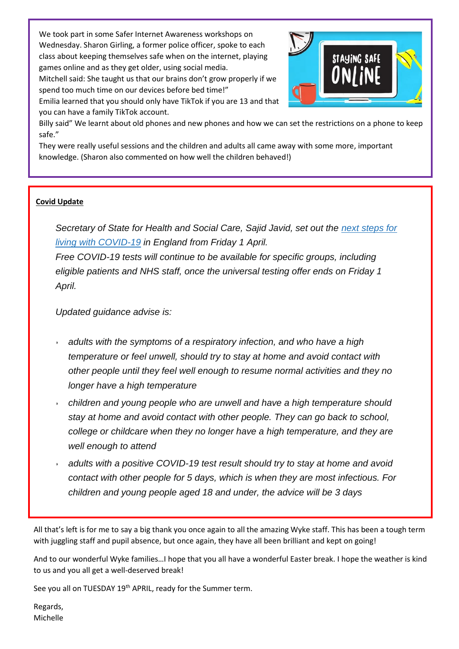We took part in some Safer Internet Awareness workshops on Wednesday. Sharon Girling, a former police officer, spoke to each class about keeping themselves safe when on the internet, playing games online and as they get older, using social media.

Mitchell said: She taught us that our brains don't grow properly if we spend too much time on our devices before bed time!"

Emilia learned that you should only have TikTok if you are 13 and that you can have a family TikTok account.



Billy said" We learnt about old phones and new phones and how we can set the restrictions on a phone to keep safe."

They were really useful sessions and the children and adults all came away with some more, important knowledge. (Sharon also commented on how well the children behaved!)

### **Covid Update**

*Secretary of State for Health and Social Care, Sajid Javid, set out the next [steps](https://www.gov.uk/government/news/government-sets-out-next-steps-for-living-with-covid?utm_source=31%20March%202022%20C19&utm_medium=Daily%20Email%20C19&utm_campaign=DfE%20C19) for living with [COVID-19](https://www.gov.uk/government/news/government-sets-out-next-steps-for-living-with-covid?utm_source=31%20March%202022%20C19&utm_medium=Daily%20Email%20C19&utm_campaign=DfE%20C19) in England from Friday 1 April.*

*Free COVID-19 tests will continue to be available for specific groups, including eligible patients and NHS staff, once the universal testing offer ends on Friday 1 April.*

*Updated guidance advise is:*

- *adults with the symptoms of a respiratory infection, and who have a high temperature or feel unwell, should try to stay at home and avoid contact with other people until they feel well enough to resume normal activities and they no longer have a high temperature*
- *children and young people who are unwell and have a high temperature should stay at home and avoid contact with other people. They can go back to school, college or childcare when they no longer have a high temperature, and they are well enough to attend*
- *adults with a positive COVID-19 test result should try to stay at home and avoid contact with other people for 5 days, which is when they are most infectious. For children and young people aged 18 and under, the advice will be 3 days*

All that's left is for me to say a big thank you once again to all the amazing Wyke staff. This has been a tough term with juggling staff and pupil absence, but once again, they have all been brilliant and kept on going!

And to our wonderful Wyke families…I hope that you all have a wonderful Easter break. I hope the weather is kind to us and you all get a well-deserved break!

See you all on TUESDAY 19<sup>th</sup> APRIL, ready for the Summer term.

Regards, Michelle